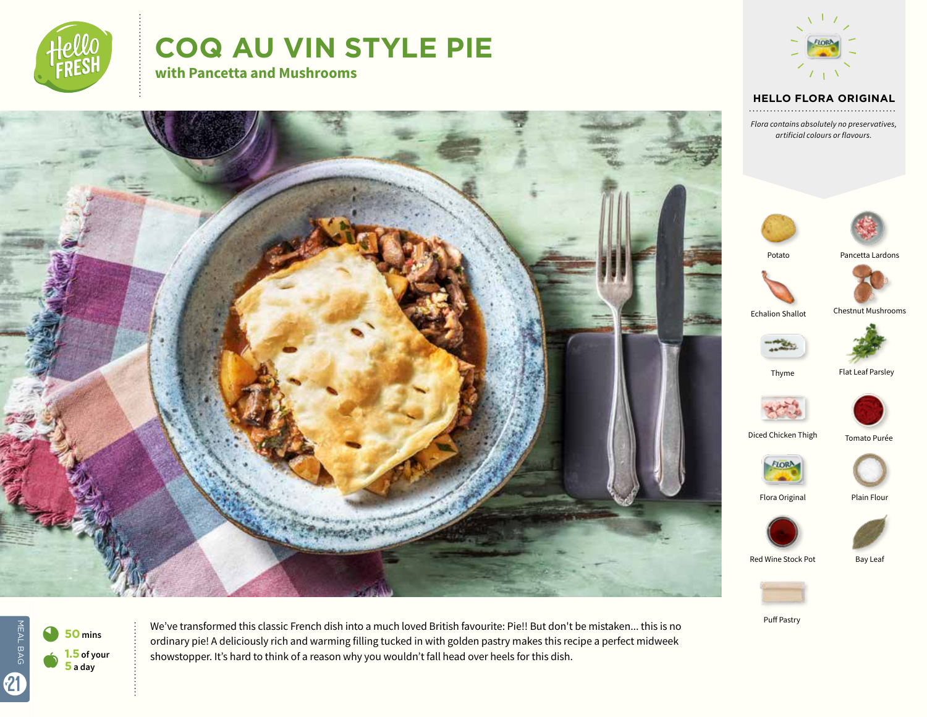

# **COQ AU VIN STYLE PIE**

**with Pancetta and Mushrooms**



#### **HELLO FLORA ORIGINAL**

*Flora contains absolutely no preservatives, artificial colours or flavours.*

Pancetta Lardons

Chestnut Mushrooms

Flat Leaf Parsley

Tomato Purée

Bay Leaf





MEAL BAG MEAL BAG  $\bullet$ 21



We've transformed this classic French dish into a much loved British favourite: Pie!! But don't be mistaken... this is no ordinary pie! A deliciously rich and warming filling tucked in with golden pastry makes this recipe a perfect midweek showstopper. It's hard to think of a reason why you wouldn't fall head over heels for this dish.